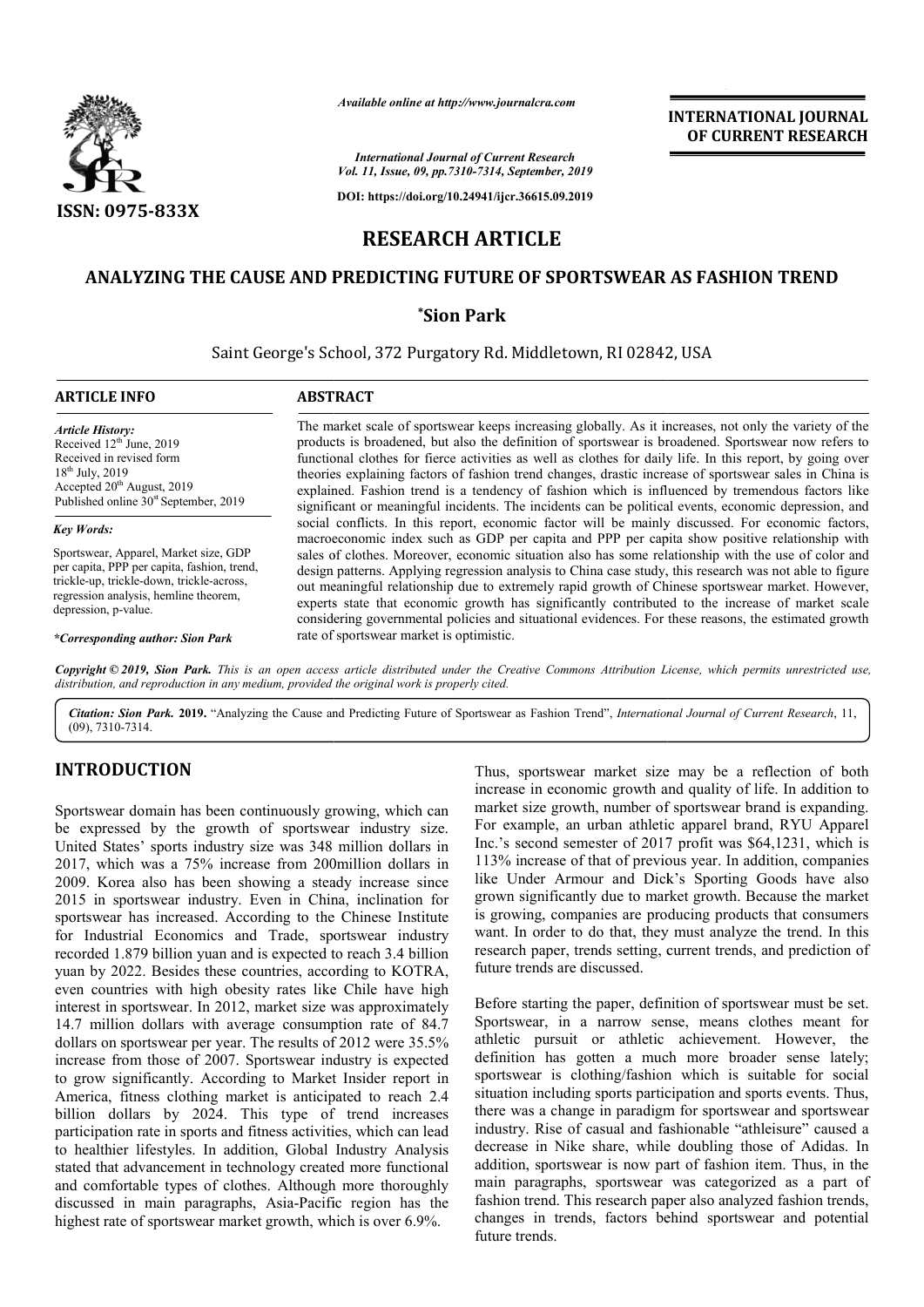

*Available online at http://www.journalcra.com*

**INTERNATIONAL JOURNAL OF CURRENT RESEARCH**

*International Journal of Current Research Vol. 11, Issue, 09, pp.7310-7314, September, 2019*

**DOI: https://doi.org/10.24941/ijcr.36615.09.2019**

# **RESEARCH ARTICLE**

## ANALYZING THE CAUSE AND PREDICTING FUTURE OF SPORTSWEAR AS FASHION TREND

## **\*Sion Park**

Saint George's School, 372 Purgatory Rd. Middletown, RI 02842, USA

## **ARTICLE INFO ABSTRACT**

*Article History:* Received  $12<sup>th</sup>$  June, 2019 Received in revised form  $18^{th}$  July, 2019 Accepted 20<sup>th</sup> August, 2019 Published online  $30<sup>st</sup>$  September, 2019

#### *Key Words:*

Sportswear, Apparel, Market size, GDP per capita, PPP per capita, fashion, trend, trickle-up, trickle-down, trickle-across, regression analysis, hemline theorem, depression, p-value.

*\*Corresponding author: Sion Park*

The market scale of sportswear keeps increasing globally. As it increases, not only the variety of the products is broadened, but also the definition of sportswear is broadened. Sportswear now refers to functional clothes for fierce activities as well as clothes for daily life. In this report, by going over theories explaining factors of fashion trend changes, drastic increase of sportswear sales in China is explained. Fashion trend is a tendency of fashion which is influenced by tremendous factors like significant or meaningful incidents. The incidents can be political events, economic depression, and social conflicts. In this report, economic factor will be mainly discussed. For economic factors, macroeconomic index such as GDP per capita and PPP per capita show positive relationship with sales of clothes. Moreover, economic situation also has some relationship with the use of color and design patterns. Applying regression analysis to China case study, this research was not able to figure out meaningful relationship due to extremely rapid growth of Chinese sportswear market. However, experts state that economic growth has significantly contributed to the increase of market scale considering governmental policies and situational evidences. For these reasons, the estimated growth rate of sportswear market is optimistic. inficant or meaningful incidents. The incidents can be political events, economic depression, and<br>cial conflicts. In this report, economic factor will be mainly discussed. For economic factors,<br>croeconomic index such as GD The market scale of sportswear keeps increasing globally. As it increases, not only the variety of the products is broadened, but also the definition of sportswear is broadened. Sportswear now refers to functional clothes sales of clothes. Moreover, economic situation also has some relationship with the use of color and design patterns. Applying regression analysis to China case study, this research was not able to figure out meaningful rel

Copyright © 2019, Sion Park. This is an open access article distributed under the Creative Commons Attribution License, which permits unrestricted use, *distribution, and reproduction in any medium, provided the original work is properly cited.*

Citation: Sion Park. 2019. "Analyzing the Cause and Predicting Future of Sportswear as Fashion Trend", *International Journal of Current Research*, 11, (09), 7310-7314.

## **INTRODUCTION**

Sportswear domain has been continuously growing, which can be expressed by the growth of sportswear industry size. United States' sports industry size was 348 million dollars in 2017, which was a 75% increase from 200million dollars in 2009. Korea also has been showing a steady increase since 2015 in sportswear industry. Even in China, inclination for sportswear has increased. According to the Chinese Institute for Industrial Economics and Trade, sportswear industry recorded 1.879 billion yuan and is expected to reach 3.4 billion yuan by 2022. Besides these countries, according to KOTRA, even countries with high obesity rates like Chile have high interest in sportswear. In 2012, market size was approximately 14.7 million dollars with average consumption rate of 84.7 dollars on sportswear per year. The results of 2012 were 35.5% increase from those of 2007. Sportswear industry is expected to grow significantly. According to Market Insider report in America, fitness clothing market is anticipated to reach 2.4 billion dollars by 2024. This type of trend increases participation rate in sports and fitness activities, which can lead to healthier lifestyles. In addition, Global Industry Analysis stated that advancement in technology created more functional and comfortable types of clothes. Although more thoroughly to healthier lifestyles. In addition, Global Industry Analysis<br>stated that advancement in technology created more functional<br>and comfortable types of clothes. Although more thoroughly<br>discussed in main paragraphs, Asia-Pac highest rate of sportswear market growth, which is over 6.9%.

Thus, sportswear market size may be a reflection of both increase in economic growth and quality of life. In addition to market size growth, number of sportswear brand is expanding. For example, an urban athletic apparel brand, RYU Apparel Inc.'s second semester of 2017 profit was \$64,1231, which is 113% increase of that of previous year. In addition, companie like Under Armour and Dick's Sporting Goods have also grown significantly due to market growth. Because the market is growing, companies are producing products that consumers want. In order to do that, they must analyze the trend. In this research paper, trends setting, current trends, and prediction of future trends are discussed. market size growth, number of sportswear brand is expanding.<br>For example, an urban athletic apparel brand, RYU Apparel<br>Inc.'s second semester of 2017 profit was \$64,1231, which is<br>113% increase of that of previous year. In

Before starting the paper, definition of sportswear must be set. Sportswear, in a narrow sense, means clothes meant for athletic pursuit or athletic achievement. However, the definition has gotten a much more broader sense lately; sportswear is clothing/fashion which is suitable for social situation including sports participation and sports events. Thus, there was a change in paradigm for sportswear and sportswear industry. Rise of casual and fashionable "athleisure" caused a decrease in Nike share, while doubling those of Adidas. In addition, sportswear is now part of fashion item. Thus, in the main paragraphs, sportswear was categorized as a part of fashion trend. This research paper also analyzed fashion trends, changes in trends, factors behind sportswear and potential future trends. INTERNATIONAL JOURNAL<br> **INTERNATIONAL JOURNAL CONDUCT CONDUCT CONDUCT CONDUCT CONDUCT CARRO CONDUCT CARRO CONDUCT CONDUCT CONDUCT CONDUCT CONDUCT CONDUCT CONDUCT CONDUCT CONDUCT CONDUCT CONDUCT CONDUCT CONDUCT CONDUCT CON**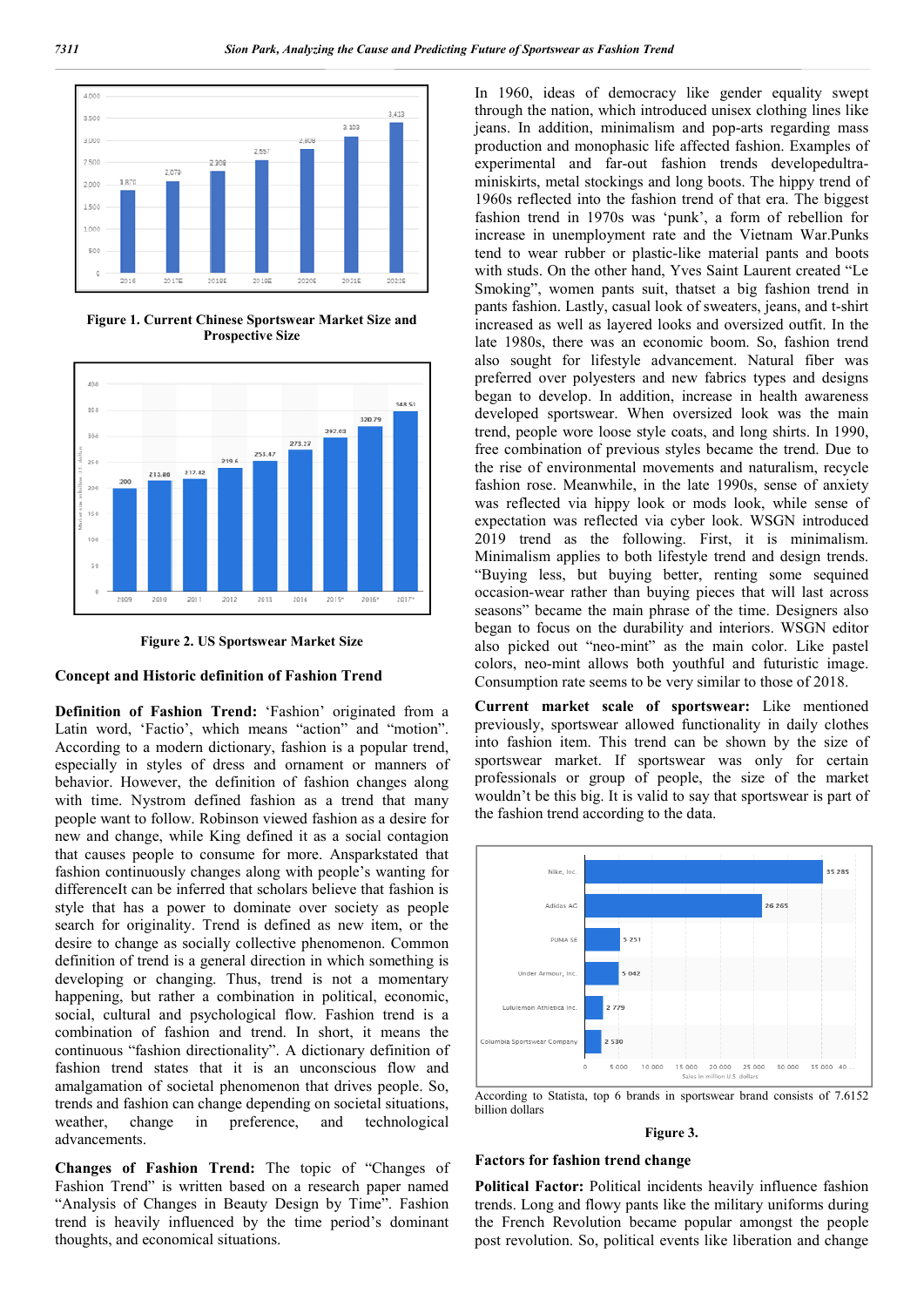

**Figure 1. Current Chinese Sportswear Market Size and Prospective Size**



**Figure 2. US Sportswear Market Size**

#### **Concept and Historic definition of Fashion Trend**

**Definition of Fashion Trend:** 'Fashion' originated from a Latin word, 'Factio', which means "action" and "motion". According to a modern dictionary, fashion is a popular trend, especially in styles of dress and ornament or manners of behavior. However, the definition of fashion changes along with time. Nystrom defined fashion as a trend that many people want to follow. Robinson viewed fashion as a desire for new and change, while King defined it as a social contagion that causes people to consume for more. Ansparkstated that fashion continuously changes along with people's wanting for differenceIt can be inferred that scholars believe that fashion is style that has a power to dominate over society as people search for originality. Trend is defined as new item, or the desire to change as socially collective phenomenon. Common definition of trend is a general direction in which something is developing or changing. Thus, trend is not a momentary happening, but rather a combination in political, economic, social, cultural and psychological flow. Fashion trend is a combination of fashion and trend. In short, it means the continuous "fashion directionality". A dictionary definition of fashion trend states that it is an unconscious flow and amalgamation of societal phenomenon that drives people. So, trends and fashion can change depending on societal situations, weather, change in preference, and technological advancements.

**Changes of Fashion Trend:** The topic of "Changes of Fashion Trend" is written based on a research paper named "Analysis of Changes in Beauty Design by Time". Fashion trend is heavily influenced by the time period's dominant thoughts, and economical situations.

In 1960, ideas of democracy like gender equality swept through the nation, which introduced unisex clothing lines like jeans. In addition, minimalism and pop-arts regarding mass production and monophasic life affected fashion. Examples of experimental and far-out fashion trends developedultraminiskirts, metal stockings and long boots. The hippy trend of 1960s reflected into the fashion trend of that era. The biggest fashion trend in 1970s was 'punk', a form of rebellion for increase in unemployment rate and the Vietnam War.Punks tend to wear rubber or plastic-like material pants and boots with studs. On the other hand, Yves Saint Laurent created "Le Smoking", women pants suit, thatset a big fashion trend in pants fashion. Lastly, casual look of sweaters, jeans, and t-shirt increased as well as layered looks and oversized outfit. In the late 1980s, there was an economic boom. So, fashion trend also sought for lifestyle advancement. Natural fiber was preferred over polyesters and new fabrics types and designs began to develop. In addition, increase in health awareness developed sportswear. When oversized look was the main trend, people wore loose style coats, and long shirts. In 1990, free combination of previous styles became the trend. Due to the rise of environmental movements and naturalism, recycle fashion rose. Meanwhile, in the late 1990s, sense of anxiety was reflected via hippy look or mods look, while sense of expectation was reflected via cyber look. WSGN introduced 2019 trend as the following. First, it is minimalism. Minimalism applies to both lifestyle trend and design trends. "Buying less, but buying better, renting some sequined occasion-wear rather than buying pieces that will last across seasons" became the main phrase of the time. Designers also began to focus on the durability and interiors. WSGN editor also picked out "neo-mint" as the main color. Like pastel colors, neo-mint allows both youthful and futuristic image. Consumption rate seems to be very similar to those of 2018.

**Current market scale of sportswear:** Like mentioned previously, sportswear allowed functionality in daily clothes into fashion item. This trend can be shown by the size of sportswear market. If sportswear was only for certain professionals or group of people, the size of the market wouldn't be this big. It is valid to say that sportswear is part of the fashion trend according to the data.



According to Statista, top 6 brands in sportswear brand consists of 7.6152 billion dollars

#### **Figure 3.**

### **Factors for fashion trend change**

**Political Factor:** Political incidents heavily influence fashion trends. Long and flowy pants like the military uniforms during the French Revolution became popular amongst the people post revolution. So, political events like liberation and change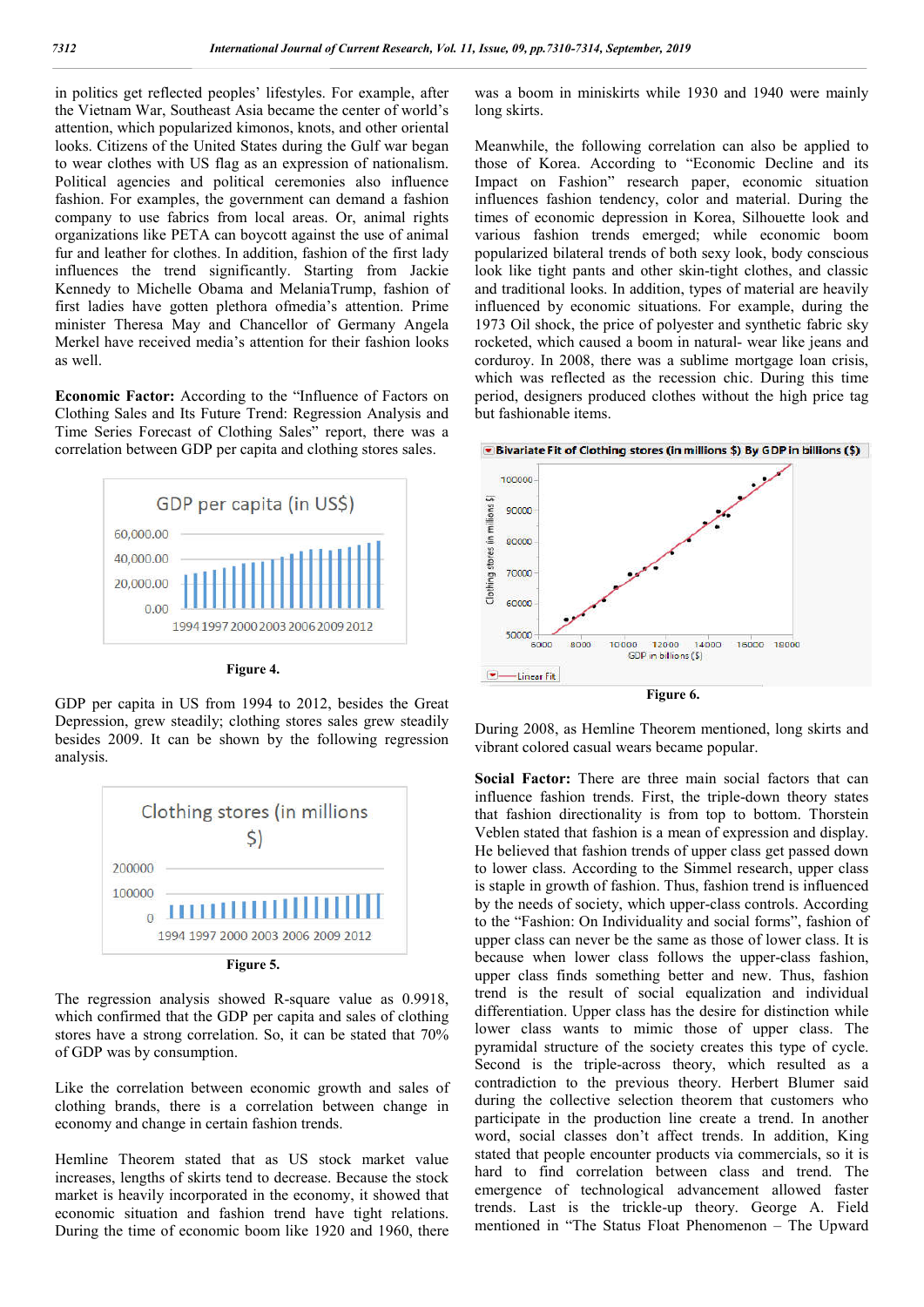in politics get reflected peoples' lifestyles. For example, after the Vietnam War, Southeast Asia became the center of world's attention, which popularized kimonos, knots, and other oriental looks. Citizens of the United States during the Gulf war began to wear clothes with US flag as an expression of nationalism. Political agencies and political ceremonies also influence fashion. For examples, the government can demand a fashion company to use fabrics from local areas. Or, animal rights organizations like PETA can boycott against the use of animal fur and leather for clothes. In addition, fashion of the first lady influences the trend significantly. Starting from Jackie Kennedy to Michelle Obama and MelaniaTrump, fashion of first ladies have gotten plethora ofmedia's attention. Prime minister Theresa May and Chancellor of Germany Angela Merkel have received media's attention for their fashion looks as well.

**Economic Factor:** According to the "Influence of Factors on Clothing Sales and Its Future Trend: Regression Analysis and Time Series Forecast of Clothing Sales" report, there was a correlation between GDP per capita and clothing stores sales.





GDP per capita in US from 1994 to 2012, besides the Great Depression, grew steadily; clothing stores sales grew steadily besides 2009. It can be shown by the following regression analysis.



The regression analysis showed R-square value as 0.9918, which confirmed that the GDP per capita and sales of clothing stores have a strong correlation. So, it can be stated that 70% of GDP was by consumption.

Like the correlation between economic growth and sales of clothing brands, there is a correlation between change in economy and change in certain fashion trends.

Hemline Theorem stated that as US stock market value increases, lengths of skirts tend to decrease. Because the stock market is heavily incorporated in the economy, it showed that economic situation and fashion trend have tight relations. During the time of economic boom like 1920 and 1960, there

was a boom in miniskirts while 1930 and 1940 were mainly long skirts.

Meanwhile, the following correlation can also be applied to those of Korea. According to "Economic Decline and its Impact on Fashion" research paper, economic situation influences fashion tendency, color and material. During the times of economic depression in Korea, Silhouette look and various fashion trends emerged; while economic boom popularized bilateral trends of both sexy look, body conscious look like tight pants and other skin-tight clothes, and classic and traditional looks. In addition, types of material are heavily influenced by economic situations. For example, during the 1973 Oil shock, the price of polyester and synthetic fabric sky rocketed, which caused a boom in natural- wear like jeans and corduroy. In 2008, there was a sublime mortgage loan crisis, which was reflected as the recession chic. During this time period, designers produced clothes without the high price tag but fashionable items.



During 2008, as Hemline Theorem mentioned, long skirts and vibrant colored casual wears became popular.

**Social Factor:** There are three main social factors that can influence fashion trends. First, the triple-down theory states that fashion directionality is from top to bottom. Thorstein Veblen stated that fashion is a mean of expression and display. He believed that fashion trends of upper class get passed down to lower class. According to the Simmel research, upper class is staple in growth of fashion. Thus, fashion trend is influenced by the needs of society, which upper-class controls. According to the "Fashion: On Individuality and social forms", fashion of upper class can never be the same as those of lower class. It is because when lower class follows the upper-class fashion, upper class finds something better and new. Thus, fashion trend is the result of social equalization and individual differentiation. Upper class has the desire for distinction while lower class wants to mimic those of upper class. The pyramidal structure of the society creates this type of cycle. Second is the triple-across theory, which resulted as a contradiction to the previous theory. Herbert Blumer said during the collective selection theorem that customers who participate in the production line create a trend. In another word, social classes don't affect trends. In addition, King stated that people encounter products via commercials, so it is hard to find correlation between class and trend. The emergence of technological advancement allowed faster trends. Last is the trickle-up theory. George A. Field mentioned in "The Status Float Phenomenon – The Upward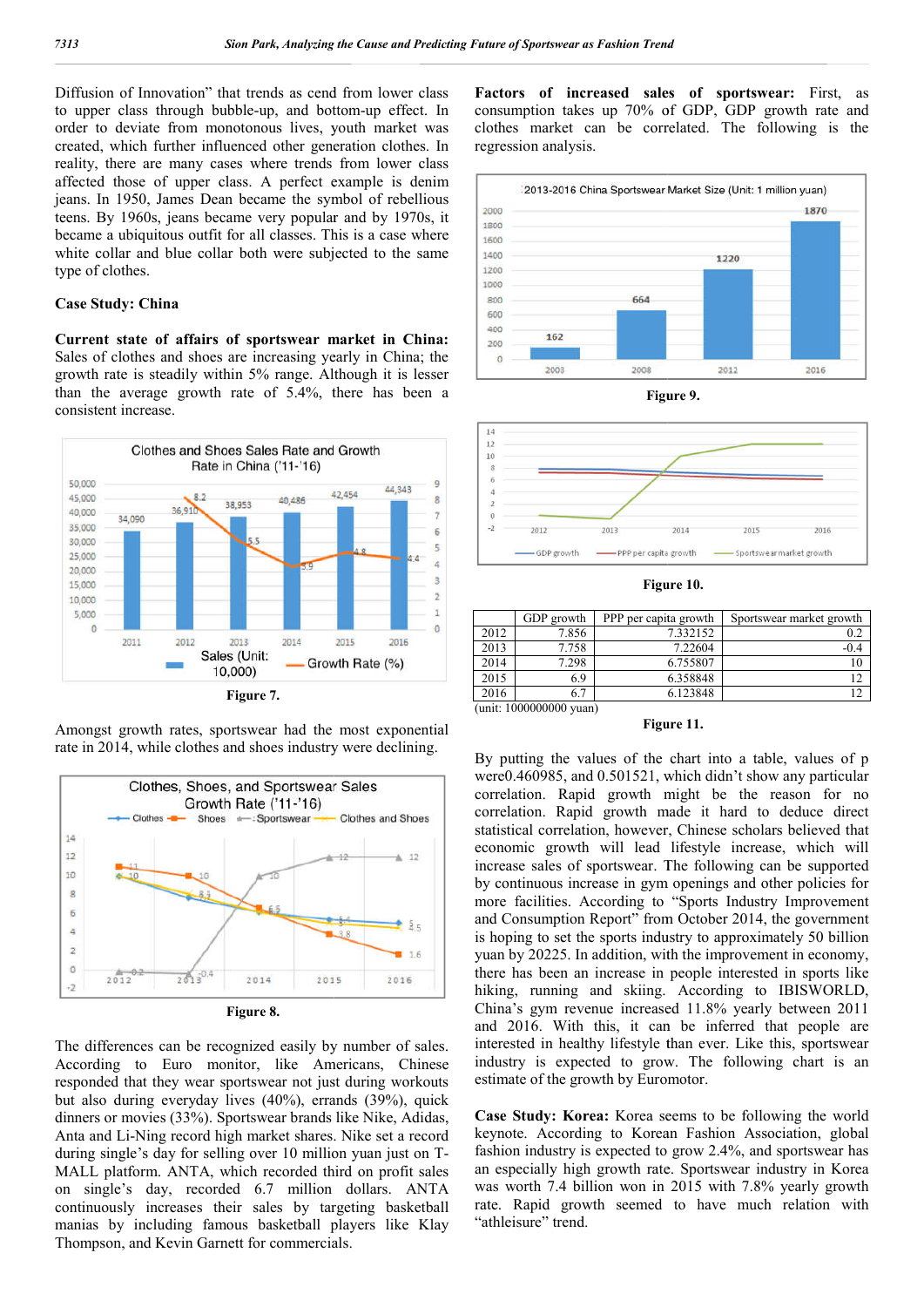Diffusion of Innovation" that trends as cend from lower class Diffusion of Innovation" that trends as cend from lower class<br>to upper class through bubble-up, and bottom-up effect. In order to deviate from monotonous lives, youth market was created, which further influenced other generation clothes. In reality, there are many cases where trends from lower class affected those of upper class. A perfect example is denim jeans. In 1950, James Dean became the symbol of rebellious teens. By 1960s, jeans became very popular and by 1970s, it became a ubiquitous outfit for all classes. This is a case where white collar and blue collar both were subjected to the same type of clothes.

#### **Case Study: China**

**Current state of affairs of sportswear market in China China:** Sales of clothes and shoes are increasing yearly in China; the growth rate is steadily within 5% range. Althou Although it is lesser than the average growth rate of 5.4%, there has been a consistent increase.



Amongst growth rates, sportswear had the most exponential rate in 2014, while clothes and shoes industry were declining.





The differences can be recognized easily by number of sales. According to Euro monitor, like Americans, Chinese responded that they wear sportswear not just during workouts but also during everyday lives (40%), errands (39%), quick dinners or movies (33%). Sportswear brands like Nike, Adidas, Anta and Li-Ning record high market shares. Nike set a record during single's day for selling over 10 million yuan just on T MALL platform. ANTA, which recorded third on profit sales on single's day, recorded 6.7 million d dollars. ANTA continuously increases their sales by targeting basketball manias by including famous basketball players like Klay Thompson, and Kevin Garnett for commercials. ovies (33%). Sportswear brands like Nike, Adidas,<br>Ning record high market shares. Nike set a record<br>''s day for selling over 10 million yuan just on T-

Factors of increased sales of sportswear: First, as consumption takes up 70% of GDP, GDP growth rate and clothes market can be correlated. The following is the regression analysis.



**Figure 9.** 



**Figure 10.** 

|                         | GDP growth | PPP per capita growth | Sportswear market growth |  |  |  |
|-------------------------|------------|-----------------------|--------------------------|--|--|--|
| 2012                    | 7.856      | 7.332152              | 0.2                      |  |  |  |
| 2013                    | 7.758      | 7.22604               | $-0.4$                   |  |  |  |
| 2014                    | 7.298      | 6.755807              | 10                       |  |  |  |
| 2015                    | 6.9        | 6.358848              | 12                       |  |  |  |
| 2016                    | 6.7        | 6.123848              | 12                       |  |  |  |
| (unit: 1000000000 yuan) |            |                       |                          |  |  |  |

**Figure 11.** 

By putting the values of the chart into a table, values of p were0.460985, and 0.501521, which didn't show any particular correlation. Rapid growth might be the reason for no correlation. Rapid growth made it hard to deduce direct statistical correlation, however, Chinese scholars believed that economic growth will lead lifestyle increase, which will increase sales of sportswear. The following can be supported by continuous increase in gym openings and other policies for more facilities. According to "Sports Industry Improvement and Consumption Report" from October 2014, the government by continuous increase in gym openings and other policies for more facilities. According to "Sports Industry Improvement and Consumption Report" from October 2014, the government is hoping to set the sports industry to app yuan by 20225. In addition, with the improvement in economy, there has been an increase in people interested in sports like hiking, running and skiing. According to IBISWORLD, China's gym revenue increased 11.8% yearly between 2011 and 2016. With this, it can be inferred that people are interested in healthy lifestyle than ever. Like this, sportswear industry is expected to grow. The following chart is an estimate of the growth by Euromotor. 0985, and 0.501521, which didn't show any particular<br>on. Rapid growth might be the reason for no<br>on. Rapid growth made it hard to deduce direct<br>correlation, however, Chinese scholars believed that<br>c growth will lead lifest yuan by 20225. In addition, with the improvement in economy, there has been an increase in people interested in sports like hiking, running and skiing. According to IBISWORLD, China's gym revenue increased 11.8% yearly bet Analyzing the Case of the base of the cordineration of the second term in the correlation of the second term in the correlation of the second term in the correlation of the second term in the second term in the second ter

**Case Study: Korea:** Korea seems to be following the w keynote. According to Korean Fashion Association, global fashion industry is expected to grow 2.4%, and sportswear has an especially high growth rate. Sportswear industry in Korea was worth 7.4 billion won in 2015 with 7.8% yearly growth rate. Rapid growth seemed to have much relation with "athleisure" trend.